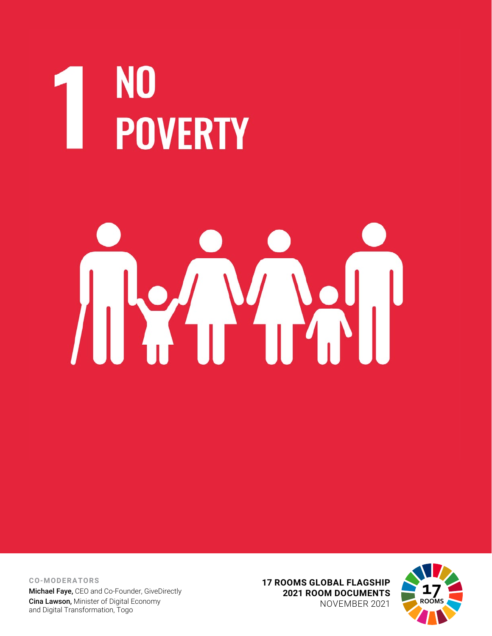# NO<br>POVERTY

# 

**CO-MODERATORS** Michael Faye, CEO and Co-Founder, GiveDirectly Cina Lawson, Minister of Digital Economy and Digital Transformation, Togo

**17 ROOMS GLOBAL FLAGSHIP 2021 ROOM DOCUMENTS** NOVEMBER 2021

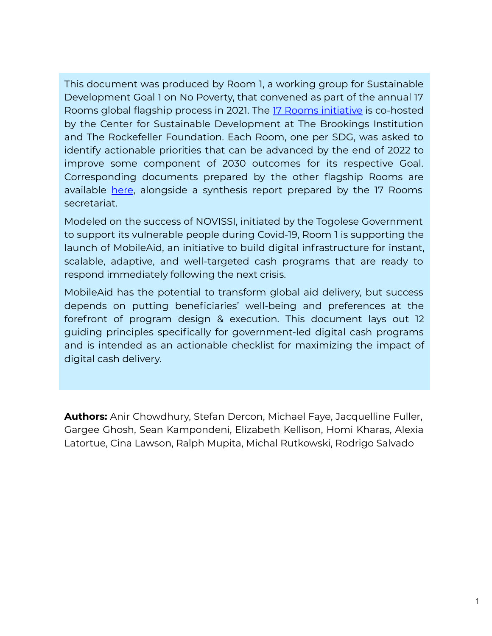This document was produced by Room 1, a working group for Sustainable Development Goal 1 on No Poverty, that convened as part of the annual 17 Rooms global flagship process in 2021. The [17 Rooms initiative](https://www.brookings.edu/project/17-rooms/) is co-hosted by the Center for Sustainable Development at The Brookings Institution and The Rockefeller Foundation. Each Room, one per SDG, was asked to identify actionable priorities that can be advanced by the end of 2022 to improve some component of 2030 outcomes for its respective Goal. Corresponding documents prepared by the other flagship Rooms are available [here](http://www.brookings.edu/17rooms2021www.brookings.edu/17rooms2021www.brookings.edu/17rooms2021www.brookings.edu/17rooms2021www.brookings.edu/17rooms2021www.brookings.edu/17rooms2021www.brookings.edu/17rooms2021), alongside a synthesis report prepared by the 17 Rooms secretariat.

Modeled on the success of NOVISSI, initiated by the Togolese Government to support its vulnerable people during Covid-19, Room 1 is supporting the launch of MobileAid, an initiative to build digital infrastructure for instant, scalable, adaptive, and well-targeted cash programs that are ready to respond immediately following the next crisis.

MobileAid has the potential to transform global aid delivery, but success depends on putting beneficiaries' well-being and preferences at the forefront of program design & execution. This document lays out 12 guiding principles specifically for government-led digital cash programs and is intended as an actionable checklist for maximizing the impact of digital cash delivery.

**Authors:** Anir Chowdhury, Stefan Dercon, Michael Faye, Jacquelline Fuller, Gargee Ghosh, Sean Kampondeni, Elizabeth Kellison, Homi Kharas, Alexia Latortue, Cina Lawson, Ralph Mupita, Michal Rutkowski, Rodrigo Salvado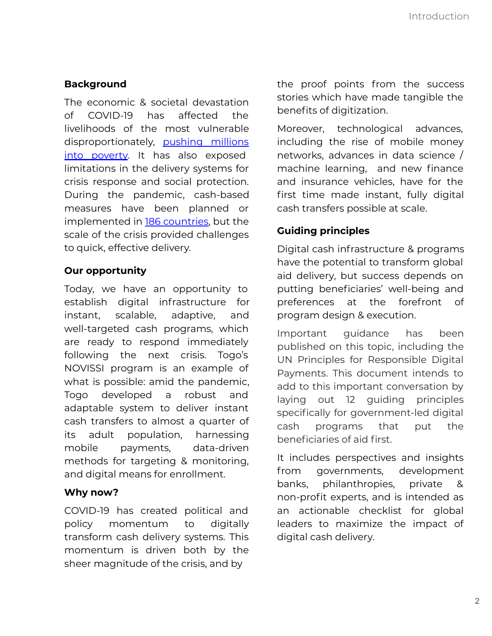#### **Background**

The economic & societal devastation of COVID-19 has affected the livelihoods of the most vulnerable disproportionately, [pushing millions](https://www.brookings.edu/wp-content/uploads/2021/06/Extreme-poverty-during-the-time-of-COVID-19.pdf) [into poverty](https://www.brookings.edu/wp-content/uploads/2021/06/Extreme-poverty-during-the-time-of-COVID-19.pdf). It has also exposed limitations in the delivery systems for crisis response and social protection. During the pandemic, cash-based measures have been planned or implemented in [186 countries,](https://documents1.worldbank.org/curated/en/281531621024684216/pdf/Social-Protection-and-Jobs-Responses-to-COVID-19-A-Real-Time-Review-of-Country-Measures-May-14-2021.pdf) but the scale of the crisis provided challenges to quick, effective delivery.

#### **Our opportunity**

Today, we have an opportunity to establish digital infrastructure for instant, scalable, adaptive, and well-targeted cash programs, which are ready to respond immediately following the next crisis. Togo's NOVISSI program is an example of what is possible: amid the pandemic, Togo developed a robust and adaptable system to deliver instant cash transfers to almost a quarter of its adult population, harnessing mobile payments, data-driven methods for targeting & monitoring, and digital means for enrollment.

#### **Why now?**

COVID-19 has created political and policy momentum to digitally transform cash delivery systems. This momentum is driven both by the sheer magnitude of the crisis, and by

the proof points from the success stories which have made tangible the benefits of digitization.

Moreover, technological advances, including the rise of mobile money networks, advances in data science / machine learning, and new finance and insurance vehicles, have for the first time made instant, fully digital cash transfers possible at scale.

### **Guiding principles**

Digital cash infrastructure & programs have the potential to transform global aid delivery, but success depends on putting beneficiaries' well-being and preferences at the forefront of program design & execution.

Important guidance has been published on this topic, including the UN Principles for Responsible Digital Payments. This document intends to add to this important conversation by laying out 12 guiding principles specifically for government-led digital cash programs that put the beneficiaries of aid first.

It includes perspectives and insights from governments, development banks, philanthropies, private & non-profit experts, and is intended as an actionable checklist for global leaders to maximize the impact of digital cash delivery.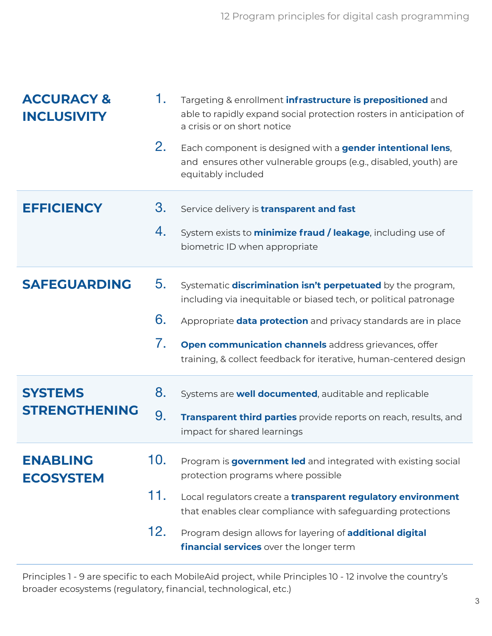| <b>ACCURACY &amp;</b><br><b>INCLUSIVITY</b> | 1.<br>2.                      | Targeting & enrollment <i>infrastructure</i> is prepositioned and<br>able to rapidly expand social protection rosters in anticipation of<br>a crisis or on short notice<br>Each component is designed with a gender intentional lens,<br>and ensures other vulnerable groups (e.g., disabled, youth) are<br>equitably included                          |
|---------------------------------------------|-------------------------------|---------------------------------------------------------------------------------------------------------------------------------------------------------------------------------------------------------------------------------------------------------------------------------------------------------------------------------------------------------|
| <b>EFFICIENCY</b>                           | 3.<br>4.                      | Service delivery is <b>transparent and fast</b><br>System exists to <b>minimize fraud / leakage</b> , including use of<br>biometric ID when appropriate                                                                                                                                                                                                 |
| <b>SAFEGUARDING</b>                         | 5.<br>6.<br>7.                | Systematic <b>discrimination isn't perpetuated</b> by the program,<br>including via inequitable or biased tech, or political patronage<br>Appropriate <b>data protection</b> and privacy standards are in place<br>Open communication channels address grievances, offer<br>training, & collect feedback for iterative, human-centered design           |
| <b>SYSTEMS</b><br><b>STRENGTHENING</b>      | 8.<br>9.                      | Systems are <b>well documented</b> , auditable and replicable<br>Transparent third parties provide reports on reach, results, and<br>impact for shared learnings                                                                                                                                                                                        |
| <b>ENABLING</b><br><b>ECOSYSTEM</b>         | 10 <sub>1</sub><br>11.<br>12. | Program is <b>government led</b> and integrated with existing social<br>protection programs where possible<br>Local regulators create a transparent regulatory environment<br>that enables clear compliance with safeguarding protections<br>Program design allows for layering of <b>additional digital</b><br>financial services over the longer term |

Principles 1 - 9 are specific to each MobileAid project, while Principles 10 - 12 involve the country's broader ecosystems (regulatory, financial, technological, etc.)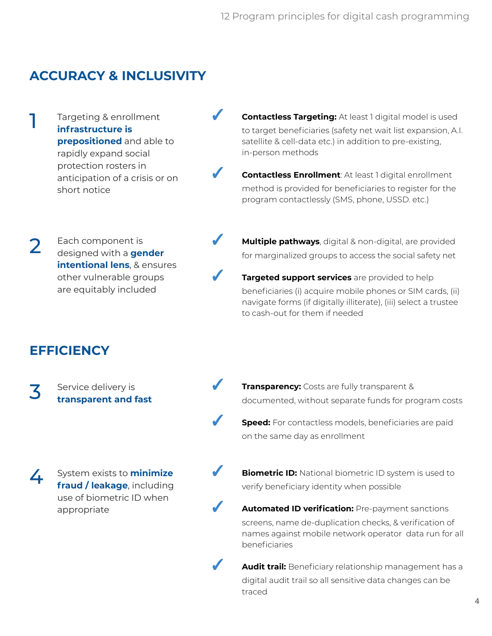# **ACCURACY & INCLUSIVITY**

Targeting & enrollment **infrastructure is prepositioned** and able to rapidly expand social protection rosters in anticipation of a crisis or on short notice

**Contactless Targeting:** At least 1 digital model is used to target beneficiaries (safety net wait list expansion, A.I. satellite & cell-data etc.) in addition to pre-existing, in-person methods

**Contactless Enrollment: At least 1 digital enrollment** method is provided for beneficiaries to register for the program contactlessly (SMS, phone, USSD. etc.)

Each component is designed with a **gender intentional lens**, & ensures other vulnerable groups are equitably included 2

for marginalized groups to access the social safety net Targeted support services are provided to help beneficiaries (i) acquire mobile phones or SIM cards, (ii)

navigate forms (if digitally illiterate), (iii) select a trustee

to cash-out for them if needed

**Multiple pathways**, digital & non-digital, are provided

# **EFFICIENCY**

1

Service delivery is **transparent and fast** 3

System exists to **minimize fraud / leakage**, including use of biometric ID when appropriate 4

**Transparency:** Costs are fully transparent & documented, without separate funds for program costs

**Speed:** For contactless models, beneficiaries are paid on the same day as enrollment

**Biometric ID:** National biometric ID system is used to verify beneficiary identity when possible

**Automated ID verification: Pre-payment sanctions** screens, name de-duplication checks, & verification of names against mobile network operator data run for all beneficiaries

✓ **Audit trail:** Beneficiary relationship management has a digital audit trail so all sensitive data changes can be traced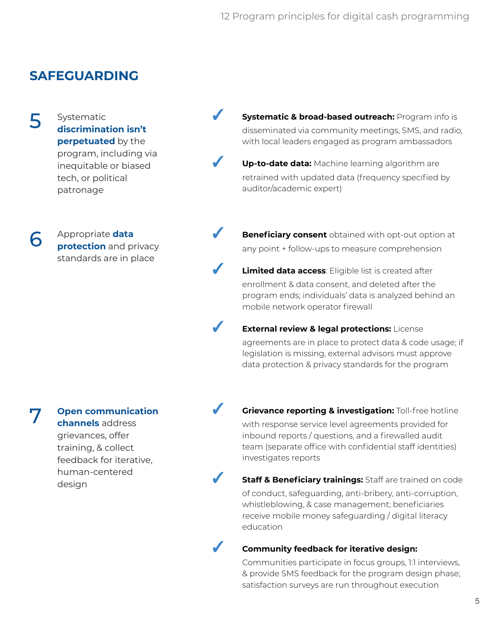# **SAFEGUARDING**

Systematic **discrimination isn't perpetuated** by the program, including via inequitable or biased tech, or political patronage 5

> Appropriate **data protection** and privacy standards are in place

6

7

**Open communication channels** address grievances, offer training, & collect feedback for iterative, human-centered design

**Systematic & broad-based outreach: Program info is** disseminated via community meetings, SMS, and radio, with local leaders engaged as program ambassadors

- Up-to-date data: Machine learning algorithm are retrained with updated data (frequency specified by auditor/academic expert)
- **Beneficiary consent** obtained with opt-out option at any point + follow-ups to measure comprehension
- Limited data access: Eligible list is created after enrollment & data consent, and deleted after the program ends; individuals' data is analyzed behind an mobile network operator firewall
- **External review & legal protections: License** agreements are in place to protect data & code usage; if legislation is missing, external advisors must approve data protection & privacy standards for the program
- **Grievance reporting & investigation: Toll-free hotline** with response service level agreements provided for inbound reports / questions, and a firewalled audit team (separate office with confidential staff identities) investigates reports
- **Staff & Beneficiary trainings:** Staff are trained on code of conduct, safeguarding, anti-bribery, anti-corruption, whistleblowing, & case management; beneficiaries receive mobile money safeguarding / digital literacy education
- 

#### **Community feedback for iterative design:**

Communities participate in focus groups, 1:1 interviews, & provide SMS feedback for the program design phase; satisfaction surveys are run throughout execution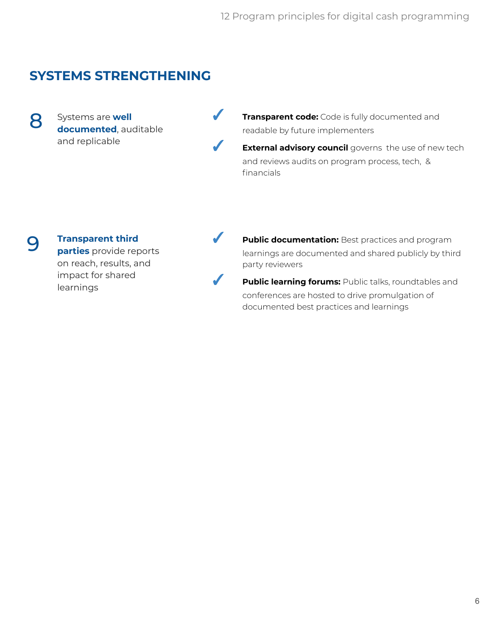# **SYSTEMS STRENGTHENING**

Systems are **well documented**, auditable and replicable

**Transparent code:** Code is fully documented and readable by future implementers

**■ External advisory council** governs the use of new tech and reviews audits on program process, tech, & financials

## 9

8

#### **Transparent third**

**parties** provide reports on reach, results, and impact for shared learnings



✓ **Public documentation:** Best practices and program learnings are documented and shared publicly by third party reviewers

> **Public learning forums:** Public talks, roundtables and conferences are hosted to drive promulgation of documented best practices and learnings